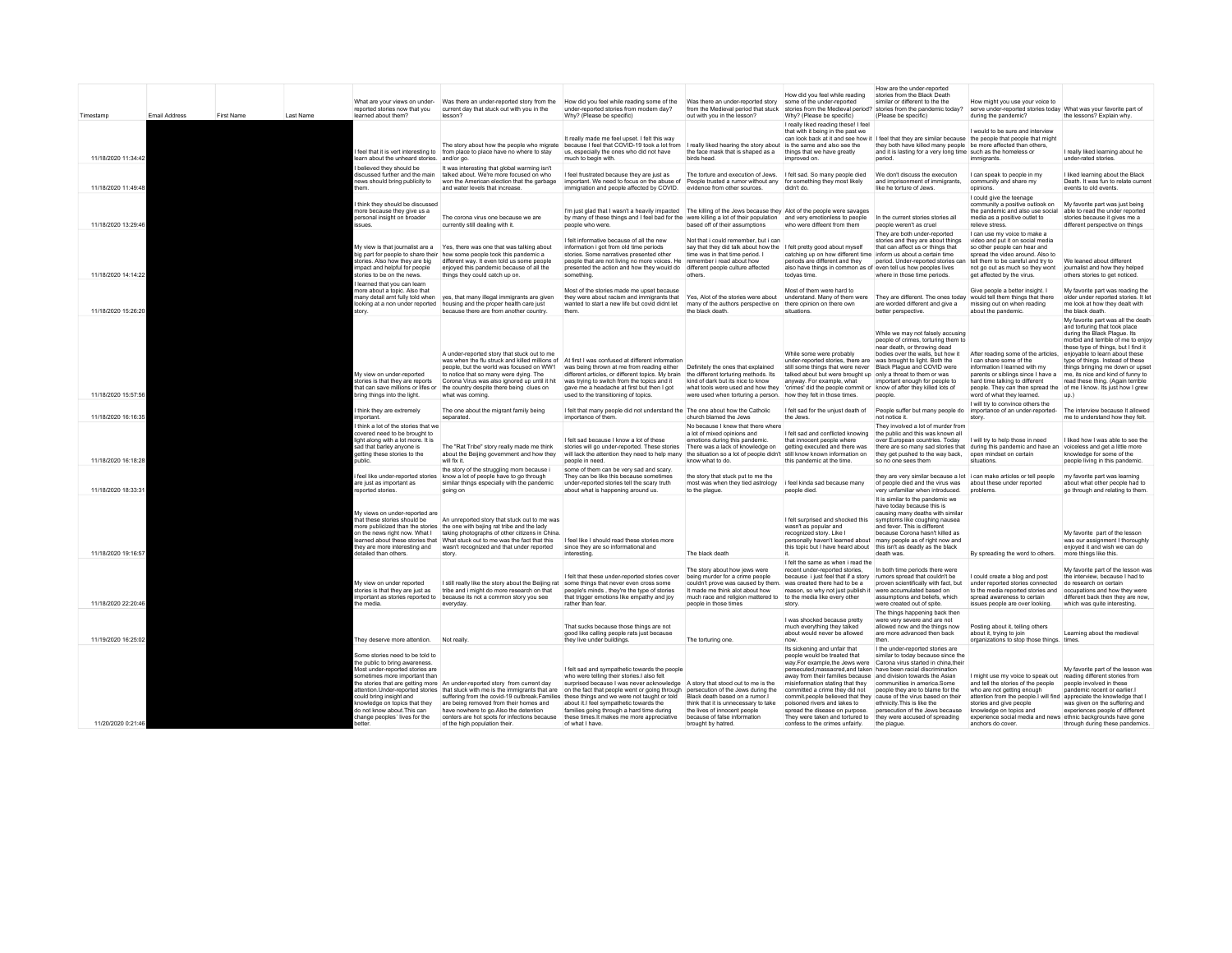| Timestamp           | Email Address | <b>First Name</b> | Last Name | What are your views on under-<br>reported stories now that you<br>learned about them?                                                                                                                                                                                                                    | current day that stuck out with you in the<br>lesson?                                                                                                                                                                                                                                                                                            | Was there an under-reported story from the How did you feel while reading some of the Was there an under-reported story some of the under-reported<br>under-reported stories from modern day?<br>Why? (Please be specific)                                                                                                                                                                                                                                                                                      | from the Medieval period that stuck<br>out with you in the lesson?                                                                                                                                                                    | How did you feel while reading<br>Why? (Please be specific)                                                                                                                                                                                                                                                                                                                     | How are the under-reported<br>stories from the Black Death<br>similar or different to the the<br>stories from the Medieval period? stories from the pandemic today?<br>(Please be specific)                                                                                                                                                                                                                                              | How might you use your voice to<br>serve under-reported stories today What was your favorite part of<br>during the pandemic?                                                                                                                                                                                                                                            | the lessons? Explain why.                                                                                                                                                                                                                                                                                                                                            |
|---------------------|---------------|-------------------|-----------|----------------------------------------------------------------------------------------------------------------------------------------------------------------------------------------------------------------------------------------------------------------------------------------------------------|--------------------------------------------------------------------------------------------------------------------------------------------------------------------------------------------------------------------------------------------------------------------------------------------------------------------------------------------------|-----------------------------------------------------------------------------------------------------------------------------------------------------------------------------------------------------------------------------------------------------------------------------------------------------------------------------------------------------------------------------------------------------------------------------------------------------------------------------------------------------------------|---------------------------------------------------------------------------------------------------------------------------------------------------------------------------------------------------------------------------------------|---------------------------------------------------------------------------------------------------------------------------------------------------------------------------------------------------------------------------------------------------------------------------------------------------------------------------------------------------------------------------------|------------------------------------------------------------------------------------------------------------------------------------------------------------------------------------------------------------------------------------------------------------------------------------------------------------------------------------------------------------------------------------------------------------------------------------------|-------------------------------------------------------------------------------------------------------------------------------------------------------------------------------------------------------------------------------------------------------------------------------------------------------------------------------------------------------------------------|----------------------------------------------------------------------------------------------------------------------------------------------------------------------------------------------------------------------------------------------------------------------------------------------------------------------------------------------------------------------|
| 11/18/2020 11:34:42 |               |                   |           | earn about the unheard stories. and/or go.                                                                                                                                                                                                                                                               | feel that it is vert interesting to from place to place have no where to stay                                                                                                                                                                                                                                                                    | It really made me feel upset. I felt this way<br>The story about how the people who migrate because I feel that COVID-19 took a lot from I really liked hearing the story about is the same and also see the<br>us, especially the ones who did not have<br>much to begin with.                                                                                                                                                                                                                                 | the face mask that is shaped as a<br>hirds head                                                                                                                                                                                       | I really liked reading these! I feel<br>that with it being in the past we<br>things that we have greatly<br>improved on                                                                                                                                                                                                                                                         | can look back at it and see how it I feel that they are similar because the people that people that might<br>they both have killed many people be more affected than others,<br>and it is lasting for a very long time such as the homeless or<br>neriod                                                                                                                                                                                 | I would to be sure and interview<br>immigrants.                                                                                                                                                                                                                                                                                                                         | I really liked learning about he<br>under-rated stories                                                                                                                                                                                                                                                                                                              |
| 11/18/2020 11:49:48 |               |                   |           | believed they should be<br>liscussed further and the main<br>ews should bring publicity to                                                                                                                                                                                                               | It was interesting that global warming isn't<br>talked about. We're more focused on who<br>won the American election that the garbage<br>and water levels that increase.                                                                                                                                                                         | I feel frustrated because they are just as<br>important. We need to focus on the abuse of<br>immigration and people affected by COVID.                                                                                                                                                                                                                                                                                                                                                                          | The torture and execution of Jews. I felt sad. So many people died<br>People trusted a rumor without any for something they most likely<br>evidence from other sources                                                                | didn't do                                                                                                                                                                                                                                                                                                                                                                       | We don't discuss the execution<br>and imprisonment of immigrants,<br>like he torture of Jews                                                                                                                                                                                                                                                                                                                                             | I can speak to people in my<br>community and share my<br>oninions                                                                                                                                                                                                                                                                                                       | I liked learning about the Black<br>Death. It was fun to relate current<br>events to old events.                                                                                                                                                                                                                                                                     |
| 11/18/2020 13:29:46 |               |                   |           | think they should be discussed<br>nore because they give us a<br>ersonal insight on broader<br>ssues                                                                                                                                                                                                     | The corona virus one because we are<br>currently still dealing with it.                                                                                                                                                                                                                                                                          | I'm just glad that I wasn't a heavily impacted The killing of the Jews because they Alot of the people were savages<br>by many of these things and I feel bad for the were killing a lot of their population and very emotionless to people<br>people who were                                                                                                                                                                                                                                                  | based off of their assumptions                                                                                                                                                                                                        | who were diffeent from them                                                                                                                                                                                                                                                                                                                                                     | In the current stories stories all<br>people weren't as cruel                                                                                                                                                                                                                                                                                                                                                                            | I could give the teenage<br>community a positive outlook on<br>the pandemic and also use social<br>media as a positive outlet to<br>relieve stress.                                                                                                                                                                                                                     | My favorite part was just being<br>able to read the under reported<br>stories because it gives me a<br>different perspective on things                                                                                                                                                                                                                               |
| 11/18/2020 14:14:22 |               |                   |           | stories. Also how they are big<br>mpact and helpful for people<br>stories to be on the news.                                                                                                                                                                                                             | My view is that iournalist are a Yes, there was one that was talking about<br>big part for people to share their how some people took this pandemic a<br>different way. It even told us some people<br>enioved this pandemic because of all the<br>things they could catch up on.                                                                | I felt informative because of all the new<br>information i got from old time periods<br>stories. Some narratives presented other<br>people that are not living no more voices. He<br>presented the action and how they would do different people culture affected<br>something.                                                                                                                                                                                                                                 | Not that i could remember, but i can<br>say that they did talk about how the I felt pretty good about myself<br>time was in that time period. I<br>remember i read about how<br>others                                                | catching up on how different time inform us about a certain time<br>periods are different and they<br>also have things in common as of even tell us how peoples lives<br>todvas time.                                                                                                                                                                                           | They are both under-reported<br>stories and they are about things<br>that can affect us or things that<br>period. Under-reported stories can<br>where in those time periods.                                                                                                                                                                                                                                                             | I can use my voice to make a<br>video and put it on social media<br>so other people can hear and<br>spread the video around. Also to<br>tell them to be careful and try to<br>not go out as much so they wont<br>get affected by the virus.                                                                                                                             | We leaned about different<br>journalist and how they helped<br>others stories to get noticed.                                                                                                                                                                                                                                                                        |
| 11/18/2020 15:26:20 |               |                   |           | learned that you can learn<br>nore about a topic. Also that<br>nany detail amt fully told when<br>story                                                                                                                                                                                                  | yes, that many illegal immigrants are given<br>looking at a non under reported housing and the proper health care just<br>because there are from another country.                                                                                                                                                                                | Most of the stories made me upset because<br>they were about racism and immigrants that<br>wanted to start a new life but covid didnt let<br>them.                                                                                                                                                                                                                                                                                                                                                              | Yes, Alot of the stories were about<br>many of the authors perspective on there opinion on there own<br>the black death.                                                                                                              | Most of them were hard to<br>understand. Many of them were<br>situations                                                                                                                                                                                                                                                                                                        | They are different. The ones today would tell them things that there<br>are worded different and give a<br>better perspective                                                                                                                                                                                                                                                                                                            | Give people a better insight. I<br>missing out on when reading<br>about the pandemic                                                                                                                                                                                                                                                                                    | My favorite part was reading the<br>older under reported stories. It let<br>me look at how they dealt with<br>the black death.                                                                                                                                                                                                                                       |
| 11/18/2020 15:57:56 |               |                   |           | My view on under-reported<br>stories is that they are reports<br>pring things into the light.                                                                                                                                                                                                            | A under-reported story that stuck out to me<br>people, but the world was focused on WW1<br>to notice that so many were dving. The<br>Corona Virus was also ignored up until it hit<br>hat can save millions or lifes or the country despite there being clues on<br>what was coming.                                                             | was when the flu struck and killed millions of At first I was confused at different information<br>was being thrown at me from reading either<br>different articles, or different topics. My brain the different torturing methods. Its<br>was trying to switch from the topics and it<br>gave me a headache at first but then I got<br>used to the transitioning of topics.                                                                                                                                    | Definitely the ones that explained<br>kind of dark but its nice to know<br>what tools were used and how they<br>were used when torturing a person. how they felt in those times.                                                      | While some were probably<br>under-reported stories, there are was brought to light. Both the<br>still some things that were never Black Plaque and COVID were<br>talked about but were brought up only a threat to them or was<br>anyway. For example, what<br>'crimes' did the people commit or know of after they killed lots of                                              | While we may not falsely accusing<br>people of crimes, torturing them to<br>near death, or throwing dead<br>bodies over the walls, but how it<br>important enough for people to<br>people                                                                                                                                                                                                                                                | After reading some of the articles,<br>I can share some of the<br>information I learned with my<br>parents or siblings since I have a<br>hard time talking to different<br>people. They can then spread the of me I know. Its just how I grew<br>word of what they learned.                                                                                             | My favorite part was all the death<br>and torturing that took place<br>during the Black Plaque, Its<br>morbid and terrible of me to enjoy<br>these type of things, but I find it<br>enjoyable to learn about these<br>type of things. Instead of these<br>things bringing me down or upset<br>me, its nice and kind of funny to<br>read these thing. (Again terrible |
| 11/18/2020 16:16:35 |               |                   |           | think they are extremely<br>mportant                                                                                                                                                                                                                                                                     | The one about the migrant family being<br>separated                                                                                                                                                                                                                                                                                              | I felt that many people did not understand the The one about how the Catholic<br>importance of them                                                                                                                                                                                                                                                                                                                                                                                                             | church blamed the Jews                                                                                                                                                                                                                | I felt sad for the unjust death of<br>the Jews.                                                                                                                                                                                                                                                                                                                                 | People suffer but many people do importance of an under-reported-<br>not notice it.                                                                                                                                                                                                                                                                                                                                                      | I will try to convince others the<br>story.                                                                                                                                                                                                                                                                                                                             | The interview because It allowed<br>me to understand how they felt.                                                                                                                                                                                                                                                                                                  |
| 11/18/2020 16:18:28 |               |                   |           | think a lot of the stories that we<br>covered need to be brought to<br>ight along with a lot more. It is<br>ad that barley anyone is<br>retting these stories to the<br>ublic.                                                                                                                           | The "Rat Tribe" story really made me think<br>about the Beijing government and how they<br>will fix it                                                                                                                                                                                                                                           | I felt sad because I know a lot of these<br>stories will go under-reported. These stories<br>will lack the attention they need to help many<br>people in need                                                                                                                                                                                                                                                                                                                                                   | No because I knew that there where<br>a lot of mixed opinions and<br>emotions during this pandemic.<br>There was a lack of knowledge on<br>the situation so a lot of people didn't still know known information on<br>know what to do | I felt sad and conflicted knowing<br>that innocent people where<br>getting executed and there was<br>this pandemic at the time.                                                                                                                                                                                                                                                 | They involved a lot of murder from<br>the public and this was known all<br>over European countries. Today<br>they get pushed to the way back,<br>so no one sees them                                                                                                                                                                                                                                                                     | I will try to help those in need<br>there are so many sad stories that during this pandemic and have an<br>open mindset on certain<br>situations                                                                                                                                                                                                                        | I liked how I was able to see the<br>voiceless and get a little more<br>knowledge for some of the<br>people living in this pandemic                                                                                                                                                                                                                                  |
| 11/18/2020 18:33:31 |               |                   |           | are just as important as<br>eported stories.                                                                                                                                                                                                                                                             | the story of the struggling mom because i<br>feel like under-reported stories know a lot of people have to go through<br>similar things especially with the pandemic<br>going on                                                                                                                                                                 | some of them can be very sad and scary.<br>They can be like this because sometimes<br>under-reported stories tell the scary truth<br>about what is happening around us.                                                                                                                                                                                                                                                                                                                                         | the story that stuck put to me the<br>most was when they tied astrology<br>to the plaque.                                                                                                                                             | i feel kinda sad because many<br>people died.                                                                                                                                                                                                                                                                                                                                   | of people died and the virus was<br>very unfamiliar when introduced.                                                                                                                                                                                                                                                                                                                                                                     | they are very similar because a lot i can make articles or tell people<br>about these under reported<br>problems                                                                                                                                                                                                                                                        | my favorite part was learning<br>about what other people had to<br>go through and relating to them                                                                                                                                                                                                                                                                   |
| 11/18/2020 19:16:57 |               |                   |           | My views on under-reported are<br>hat these stories should be<br>hev are more interesting and<br>detailed than others.                                                                                                                                                                                   | An unreported story that stuck out to me was<br>nore publicized than the stories the one with bejing rat tribe and the lady<br>on the news right now. What I taking photographs of other citizens in China.<br>earned about these stories that What stuck out to me was the fact that this<br>wasn't recognized and that under reported<br>story | I feel like I should read these stories more<br>since they are so informational and<br>interesting.                                                                                                                                                                                                                                                                                                                                                                                                             | The black death                                                                                                                                                                                                                       | I felt surprised and shocked this<br>wasn't as popular and<br>recognized story. Like I<br>this topic but I have heard about this isn't as deadly as the black                                                                                                                                                                                                                   | It is similar to the pandemic we<br>have today because this is<br>causing many deaths with similar<br>symptoms like coughing nausea<br>and fever. This is different<br>because Corona hasn't killed as<br>personally haven't learned about many people as of right now and<br>death was                                                                                                                                                  | By spreading the word to others.                                                                                                                                                                                                                                                                                                                                        | My favorite part of the lesson<br>was our assignment I thoroughly<br>enjoyed it and wish we can do<br>more things like this.                                                                                                                                                                                                                                         |
| 11/18/2020 22:20:46 |               |                   |           | My view on under reported<br>stories is that they are just as<br>he media                                                                                                                                                                                                                                | I still really like the story about the Beijing rat some things that never even cross some<br>tribe and i might do more research on that<br>mportant as stories reported to because its not a common story you see<br>everyday                                                                                                                   | I felt that these under-reported stories cover<br>people's minds, they're the type of stories<br>that trigger emotions like empathy and joy<br>rather than fear                                                                                                                                                                                                                                                                                                                                                 | The story about how jews were<br>being murder for a crime people<br>couldn't prove was caused by them.<br>It made me think alot about how<br>much race and religion mattered to<br>people in those times                              | I felt the same as when i read the<br>recent under-reported stories,<br>because i just feel that if a story numors spread that couldn't be<br>was created there had to be a<br>reason, so why not just publish it<br>to the media like every other<br>story.                                                                                                                    | In both time periods there were<br>proven scientifically with fact but<br>were accumulated based on<br>assumptions and beliefs, which<br>were created out of spite.                                                                                                                                                                                                                                                                      | I could create a blog and post<br>under reported stories connected<br>to the media reported stories and<br>spread awareness to certain<br>issues people are over looking.                                                                                                                                                                                               | My favorite part of the lesson was<br>the interview, because I had to<br>do research on certain<br>occupations and how they were<br>different back then they are now,<br>which was quite interesting.                                                                                                                                                                |
| 11/19/2020 16:25:02 |               |                   |           |                                                                                                                                                                                                                                                                                                          | Not really                                                                                                                                                                                                                                                                                                                                       | That sucks because those things are not<br>good like calling people rats just because                                                                                                                                                                                                                                                                                                                                                                                                                           |                                                                                                                                                                                                                                       | I was shocked because pretty<br>much everything they talked<br>about would never be allowed                                                                                                                                                                                                                                                                                     | The things happening back then<br>were very severe and are not<br>allowed now and the things now<br>are more advanced then back                                                                                                                                                                                                                                                                                                          | Posting about it, telling others<br>about it, trying to join                                                                                                                                                                                                                                                                                                            | Learning about the medieval                                                                                                                                                                                                                                                                                                                                          |
| 11/20/2020 0:21:46  |               |                   |           | They deserve more attention.<br>Some stories need to be told to<br>he public to bring awareness.<br>Most under-reported stories are<br>sometimes more important than<br>could bring insight and<br>nowledge on topics that they<br>do not know about. This can<br>change peoples' lives for the<br>etter | he stories that are getting more An under-reported story from current day<br>ttention. Under-reported stories that stuck with me is the immigrants that are<br>are being removed from their homes and<br>have nowhere to go.Also the detention<br>centers are hot spots for infections because<br>of the high population their.                  | they live under buildings.<br>I felt sad and sympathetic towards the people<br>who were telling their stories.I also felt<br>surprised because I was never acknowledge A story that stood out to me is the<br>on the fact that people went or going through<br>suffering from the covid-19 outbreak.Families these things and we were not taught or told<br>about it.I feel sympathetic towards the<br>families going through a hard time during<br>these times.It makes me more appreciative<br>of what I have | The torturing one.<br>persecution of the Jews during the<br>Black death based on a rumor.<br>hink that it is unnecessary to take<br>the lives of innocent people<br>because of false information<br>brought by hatred.                | Its sickening and unfair that<br>people would be treated that<br>persecuted, massacred, and taken have been racial discrimination<br>away from their families because and division towards the Asian<br>misinformation stating that they<br>committed a crime they did not<br>poisoned rivers and lakes to<br>spread the disease on purpose.<br>confess to the crimes unfairly. | I the under-reported stories are<br>similar to today because since the<br>way.For example, the Jews were Carona virus started in china, their<br>communities in america Some<br>people they are to blame for the<br>commit.people believed that they cause of the virus based on their<br>ethnicity. This is like the<br>persecution of the Jews because<br>They were taken and tortured to they were accused of spreading<br>the plaque | organizations to stop those things. times.<br>I might use my voice to speak out reading different stories from<br>and tell the stories of the people<br>who are not getting enough<br>attention from the people. I will find<br>stories and give people<br>knowledge on topics and<br>experience social media and news ethnic backgrounds have gone<br>anchors do cover | My favorite part of the lesson was<br>people involved in these<br>pandemic recent or earlier.<br>appreciate the knowledge that<br>was given on the suffering and<br>experiences people of different<br>through during these pandemics.                                                                                                                               |